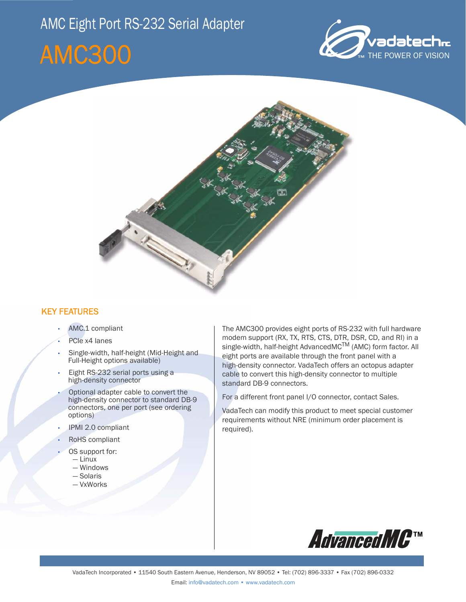# AMC Eight Port RS-232 Serial Adapter

# AMC300





## KEY FEATURES

- AMC.1 compliant
- PCIe x4 lanes
- Single-width, half-height (Mid-Height and Full-Height options available)
- Eight RS-232 serial ports using a high-density connector
- Optional adapter cable to convert the high-density connector to standard DB-9 connectors, one per port (see ordering options)
- IPMI 2.0 compliant
- RoHS compliant
	- OS support for:
	- Linux
	- Windows
	- Solaris
	- VxWorks

The AMC300 provides eight ports of RS-232 with full hardware modem support (RX, TX, RTS, CTS, DTR, DSR, CD, and RI) in a single-width, half-height AdvancedMC<sup>TM</sup> (AMC) form factor. All eight ports are available through the front panel with a high-density connector. VadaTech offers an octopus adapter cable to convert this high-density connector to multiple standard DB-9 connectors.

For a different front panel I/O connector, contact Sales.

VadaTech can modify this product to meet special customer requirements without NRE (minimum order placement is required).

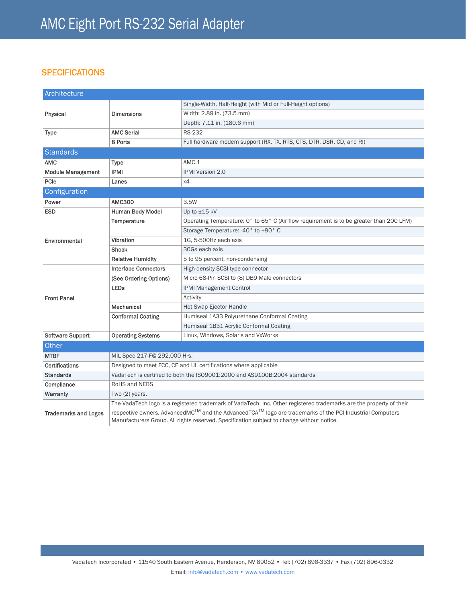### **SPECIFICATIONS**

| Architecture                |                                                                                                                                                                                                                                |                                                                                         |
|-----------------------------|--------------------------------------------------------------------------------------------------------------------------------------------------------------------------------------------------------------------------------|-----------------------------------------------------------------------------------------|
| Physical                    | <b>Dimensions</b>                                                                                                                                                                                                              | Single-Width, Half-Height (with Mid or Full-Height options)                             |
|                             |                                                                                                                                                                                                                                | Width: 2.89 in. (73.5 mm)                                                               |
|                             |                                                                                                                                                                                                                                | Depth: 7.11 in. (180.6 mm)                                                              |
| <b>Type</b>                 | <b>AMC Serial</b>                                                                                                                                                                                                              | <b>RS-232</b>                                                                           |
|                             | 8 Ports                                                                                                                                                                                                                        | Full hardware modem support (RX, TX, RTS, CTS, DTR, DSR, CD, and RI)                    |
| Standards                   |                                                                                                                                                                                                                                |                                                                                         |
| <b>AMC</b>                  | Type                                                                                                                                                                                                                           | AMC.1                                                                                   |
| <b>Module Management</b>    | <b>IPMI</b>                                                                                                                                                                                                                    | <b>IPMI Version 2.0</b>                                                                 |
| PCle                        | Lanes                                                                                                                                                                                                                          | x4                                                                                      |
| Configuration               |                                                                                                                                                                                                                                |                                                                                         |
| Power                       | <b>AMC300</b>                                                                                                                                                                                                                  | 3.5W                                                                                    |
| <b>ESD</b>                  | <b>Human Body Model</b>                                                                                                                                                                                                        | Up to $±15$ kV                                                                          |
| Environmental               | Temperature                                                                                                                                                                                                                    | Operating Temperature: 0° to 65° C (Air flow requirement is to be greater than 200 LFM) |
|                             |                                                                                                                                                                                                                                | Storage Temperature: -40° to +90° C                                                     |
|                             | Vibration                                                                                                                                                                                                                      | 1G, 5-500Hz each axis                                                                   |
|                             | <b>Shock</b>                                                                                                                                                                                                                   | 30Gs each axis                                                                          |
|                             | <b>Relative Humidity</b>                                                                                                                                                                                                       | 5 to 95 percent, non-condensing                                                         |
| <b>Front Panel</b>          | <b>Interface Connectors</b>                                                                                                                                                                                                    | High-density SCSI type connector                                                        |
|                             | (See Ordering Options)                                                                                                                                                                                                         | Micro 68-Pin SCSI to (8) DB9 Male connectors                                            |
|                             | <b>LEDs</b>                                                                                                                                                                                                                    | <b>IPMI Management Control</b>                                                          |
|                             |                                                                                                                                                                                                                                | Activity                                                                                |
|                             | Mechanical                                                                                                                                                                                                                     | Hot Swap Ejector Handle                                                                 |
|                             | <b>Conformal Coating</b>                                                                                                                                                                                                       | Humiseal 1A33 Polyurethane Conformal Coating                                            |
|                             |                                                                                                                                                                                                                                | Humiseal 1B31 Acrylic Conformal Coating                                                 |
| <b>Software Support</b>     | <b>Operating Systems</b>                                                                                                                                                                                                       | Linux, Windows, Solaris and VxWorks                                                     |
| Other                       |                                                                                                                                                                                                                                |                                                                                         |
| <b>MTBF</b>                 | MIL Spec 217-F@ 292,000 Hrs.                                                                                                                                                                                                   |                                                                                         |
| <b>Certifications</b>       | Designed to meet FCC, CE and UL certifications where applicable                                                                                                                                                                |                                                                                         |
| <b>Standards</b>            | VadaTech is certified to both the ISO9001:2000 and AS9100B:2004 standards                                                                                                                                                      |                                                                                         |
| Compliance                  | RoHS and NEBS                                                                                                                                                                                                                  |                                                                                         |
| <b>Warranty</b>             | Two $(2)$ years.                                                                                                                                                                                                               |                                                                                         |
| <b>Trademarks and Logos</b> | The VadaTech logo is a registered trademark of VadaTech, Inc. Other registered trademarks are the property of their                                                                                                            |                                                                                         |
|                             | respective owners. AdvancedMC <sup>TM</sup> and the AdvancedTCA <sup>TM</sup> logo are trademarks of the PCI Industrial Computers<br>Manufacturers Group. All rights reserved. Specification subject to change without notice. |                                                                                         |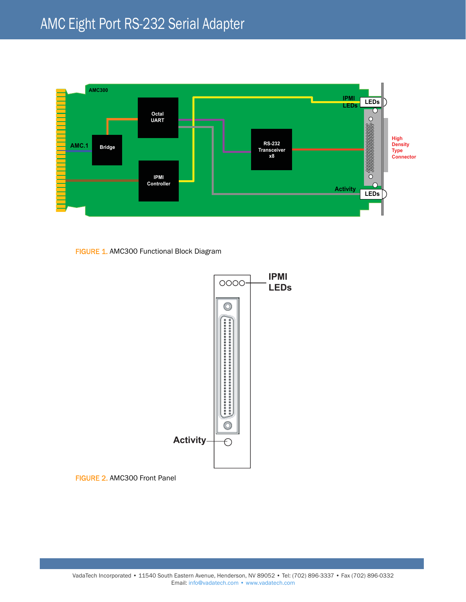

FIGURE 1. AMC300 Functional Block Diagram



FIGURE 2. AMC300 Front Panel